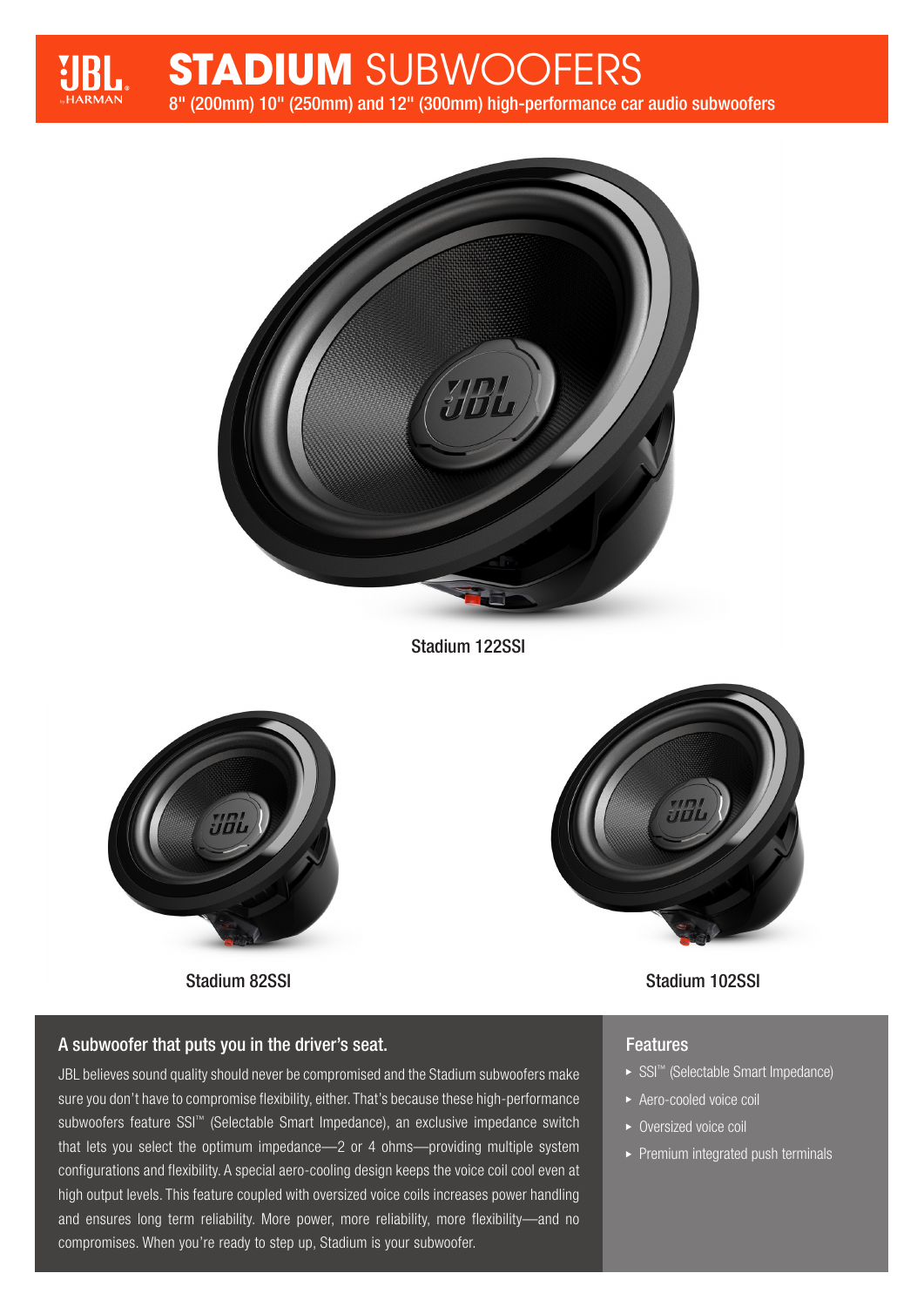

# **STADIUM** SUBWOOFERS

8" (200mm) 10" (250mm) and 12" (300mm) high-performance car audio subwoofers



Stadium 122SSI





## Stadium 82SSI Stadium 102SSI

### **Features**

- ► SSI<sup>™</sup> (Selectable Smart Impedance)
- Aero-cooled voice coil
- ▶ Oversized voice coil
- $\blacktriangleright$  Premium integrated push terminals

## A subwoofer that puts you in the driver's seat.

JBL believes sound quality should never be compromised and the Stadium subwoofers make sure you don't have to compromise flexibility, either. That's because these high-performance subwoofers feature SSI™ (Selectable Smart Impedance), an exclusive impedance switch that lets you select the optimum impedance—2 or 4 ohms—providing multiple system configurations and flexibility. A special aero-cooling design keeps the voice coil cool even at high output levels. This feature coupled with oversized voice coils increases power handling and ensures long term reliability. More power, more reliability, more flexibility—and no compromises. When you're ready to step up, Stadium is your subwoofer.